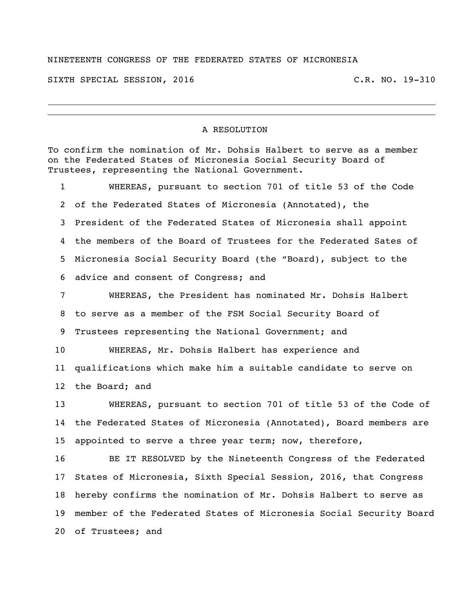## NINETEENTH CONGRESS OF THE FEDERATED STATES OF MICRONESIA

SIXTH SPECIAL SESSION, 2016 C.R. NO. 19-310

## A RESOLUTION

To confirm the nomination of Mr. Dohsis Halbert to serve as a member on the Federated States of Micronesia Social Security Board of Trustees, representing the National Government. WHEREAS, pursuant to section 701 of title 53 of the Code of the Federated States of Micronesia (Annotated), the President of the Federated States of Micronesia shall appoint the members of the Board of Trustees for the Federated Sates of Micronesia Social Security Board (the "Board), subject to the

advice and consent of Congress; and

 WHEREAS, the President has nominated Mr. Dohsis Halbert to serve as a member of the FSM Social Security Board of Trustees representing the National Government; and

 WHEREAS, Mr. Dohsis Halbert has experience and qualifications which make him a suitable candidate to serve on the Board; and

 WHEREAS, pursuant to section 701 of title 53 of the Code of the Federated States of Micronesia (Annotated), Board members are appointed to serve a three year term; now, therefore,

 BE IT RESOLVED by the Nineteenth Congress of the Federated States of Micronesia, Sixth Special Session, 2016, that Congress hereby confirms the nomination of Mr. Dohsis Halbert to serve as member of the Federated States of Micronesia Social Security Board of Trustees; and